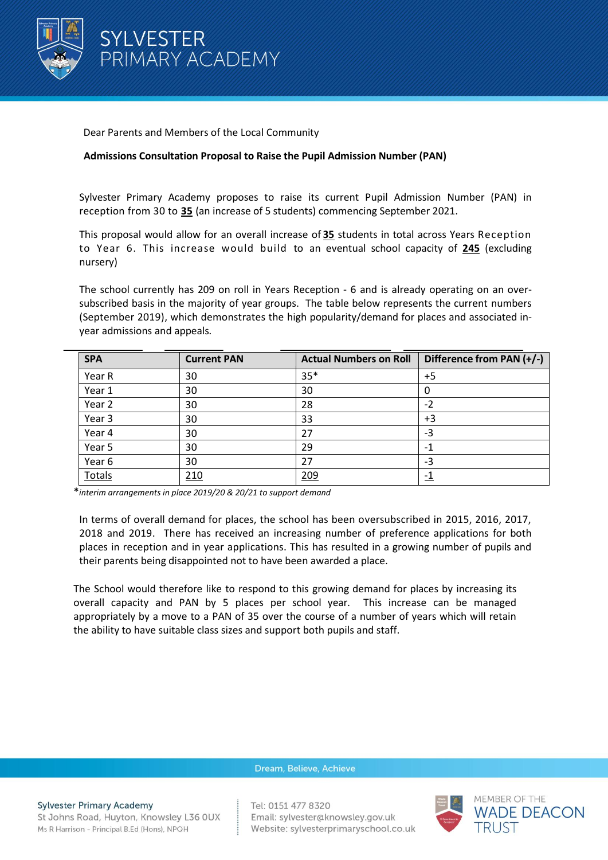

Dear Parents and Members of the Local Community

## **Admissions Consultation Proposal to Raise the Pupil Admission Number (PAN)**

Sylvester Primary Academy proposes to raise its current Pupil Admission Number (PAN) in reception from 30 to **35** (an increase of 5 students) commencing September 2021.

This proposal would allow for an overall increase of **35** students in total across Years Reception to Year 6. This increase would build to an eventual school capacity of **245** (excluding nursery)

The school currently has 209 on roll in Years Reception - 6 and is already operating on an oversubscribed basis in the majority of year groups. The table below represents the current numbers (September 2019), which demonstrates the high popularity/demand for places and associated inyear admissions and appeals*.*

| <b>SPA</b> | <b>Current PAN</b> | <b>Actual Numbers on Roll</b> | Difference from PAN (+/-) |
|------------|--------------------|-------------------------------|---------------------------|
| Year R     | 30                 | $35*$                         | $+5$                      |
| Year 1     | 30                 | 30                            | O                         |
| Year 2     | 30                 | 28                            | $-2$                      |
| Year 3     | 30                 | 33                            | $+3$                      |
| Year 4     | 30                 | 27                            | -3                        |
| Year 5     | 30                 | 29                            | -1                        |
| Year 6     | 30                 | 27                            | -3                        |
| Totals     | 210                | 209                           |                           |

\**interim arrangements in place 2019/20 & 20/21 to support demand*

In terms of overall demand for places, the school has been oversubscribed in 2015, 2016, 2017, 2018 and 2019. There has received an increasing number of preference applications for both places in reception and in year applications. This has resulted in a growing number of pupils and their parents being disappointed not to have been awarded a place.

The School would therefore like to respond to this growing demand for places by increasing its overall capacity and PAN by 5 places per school year. This increase can be managed appropriately by a move to a PAN of 35 over the course of a number of years which will retain the ability to have suitable class sizes and support both pupils and staff.

### Dream, Believe, Achieve

# **Sylvester Primary Academy**

St Johns Road, Huyton, Knowsley L36 0UX Ms R Harrison - Principal B.Ed (Hons), NPQH

Tel: 0151 477 8320 Email: sylvester@knowsley.gov.uk Website: sylvesterprimaryschool.co.uk